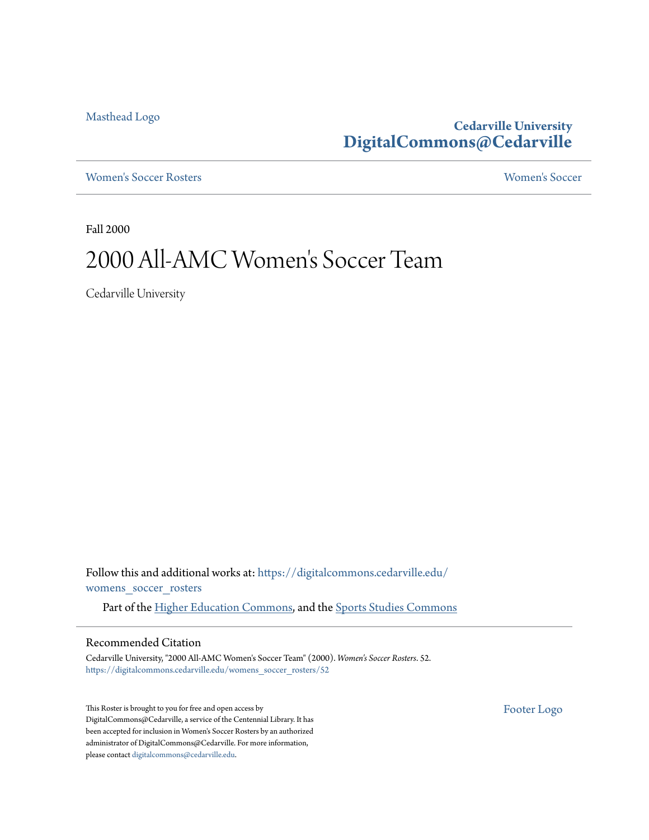[Masthead Logo](http://www.cedarville.edu/?utm_source=digitalcommons.cedarville.edu%2Fwomens_soccer_rosters%2F52&utm_medium=PDF&utm_campaign=PDFCoverPages)

**Cedarville University [DigitalCommons@Cedarville](https://digitalcommons.cedarville.edu?utm_source=digitalcommons.cedarville.edu%2Fwomens_soccer_rosters%2F52&utm_medium=PDF&utm_campaign=PDFCoverPages)**

[Women's Soccer Rosters](https://digitalcommons.cedarville.edu/womens_soccer_rosters?utm_source=digitalcommons.cedarville.edu%2Fwomens_soccer_rosters%2F52&utm_medium=PDF&utm_campaign=PDFCoverPages) [Women's Soccer](https://digitalcommons.cedarville.edu/womens_soccer?utm_source=digitalcommons.cedarville.edu%2Fwomens_soccer_rosters%2F52&utm_medium=PDF&utm_campaign=PDFCoverPages)

Fall 2000

# 2000 All-AMC Women 's Soccer Team

Cedarville University

Follow this and additional works at: [https://digitalcommons.cedarville.edu/](https://digitalcommons.cedarville.edu/womens_soccer_rosters?utm_source=digitalcommons.cedarville.edu%2Fwomens_soccer_rosters%2F52&utm_medium=PDF&utm_campaign=PDFCoverPages) [womens\\_soccer\\_rosters](https://digitalcommons.cedarville.edu/womens_soccer_rosters?utm_source=digitalcommons.cedarville.edu%2Fwomens_soccer_rosters%2F52&utm_medium=PDF&utm_campaign=PDFCoverPages)

Part of the [Higher Education Commons](http://network.bepress.com/hgg/discipline/1245?utm_source=digitalcommons.cedarville.edu%2Fwomens_soccer_rosters%2F52&utm_medium=PDF&utm_campaign=PDFCoverPages), and the [Sports Studies Commons](http://network.bepress.com/hgg/discipline/1198?utm_source=digitalcommons.cedarville.edu%2Fwomens_soccer_rosters%2F52&utm_medium=PDF&utm_campaign=PDFCoverPages)

#### Recommended Citation

Cedarville University, "2000 All-AMC Women's Soccer Team" (2000). *Women's Soccer Rosters*. 52. [https://digitalcommons.cedarville.edu/womens\\_soccer\\_rosters/52](https://digitalcommons.cedarville.edu/womens_soccer_rosters/52?utm_source=digitalcommons.cedarville.edu%2Fwomens_soccer_rosters%2F52&utm_medium=PDF&utm_campaign=PDFCoverPages)

This Roster is brought to you for free and open access by DigitalCommons@Cedarville, a service of the Centennial Library. It has been accepted for inclusion in Women's Soccer Rosters by an authorized administrator of DigitalCommons@Cedarville. For more information, please contact [digitalcommons@cedarville.edu.](mailto:digitalcommons@cedarville.edu)

[Footer Logo](http://www.cedarville.edu/Academics/Library.aspx?utm_source=digitalcommons.cedarville.edu%2Fwomens_soccer_rosters%2F52&utm_medium=PDF&utm_campaign=PDFCoverPages)